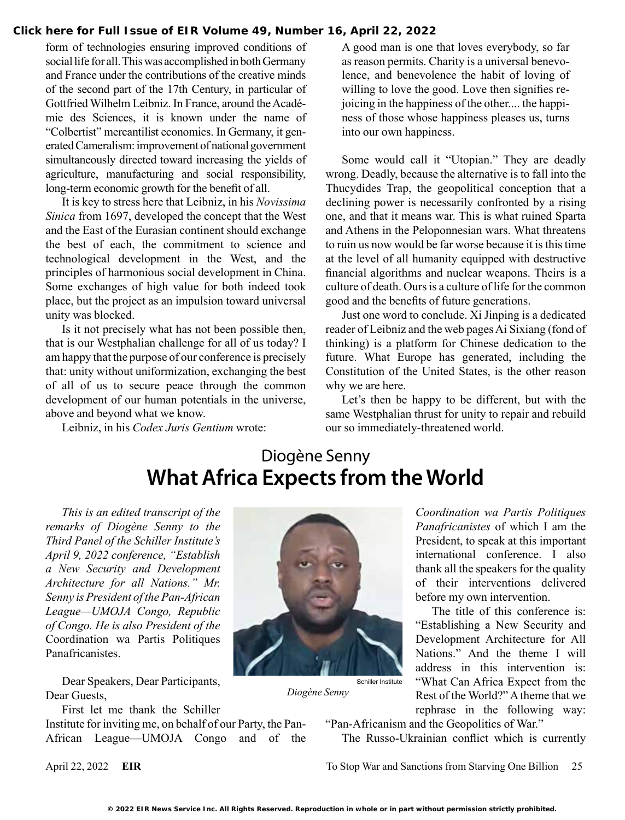#### **[Click here for Full Issue of EIR Volume 49, Number 16, April 22, 2022](http://www.larouchepub.com/eiw/public/2022/eirv49n16-20220422/index.html)**

form of technologies ensuring improved conditions of social life for all. This was accomplished in both Germany and France under the contributions of the creative minds of the second part of the 17th Century, in particular of Gottfried Wilhelm Leibniz. In France, around the Académie des Sciences, it is known under the name of "Colbertist" mercantilist economics. In Germany, it generated Cameralism: improvement of national government simultaneously directed toward increasing the yields of agriculture, manufacturing and social responsibility, long-term economic growth for the benefit of all.

It is key to stress here that Leibniz, in his *Novissima Sinica* from 1697, developed the concept that the West and the East of the Eurasian continent should exchange the best of each, the commitment to science and technological development in the West, and the principles of harmonious social development in China. Some exchanges of high value for both indeed took place, but the project as an impulsion toward universal unity was blocked.

Is it not precisely what has not been possible then, that is our Westphalian challenge for all of us today? I am happy that the purpose of our conference is precisely that: unity without uniformization, exchanging the best of all of us to secure peace through the common development of our human potentials in the universe, above and beyond what we know.

Leibniz, in his *Codex Juris Gentium* wrote:

A good man is one that loves everybody, so far as reason permits. Charity is a universal benevolence, and benevolence the habit of loving of willing to love the good. Love then signifies rejoicing in the happiness of the other.... the happiness of those whose happiness pleases us, turns into our own happiness.

Some would call it "Utopian." They are deadly wrong. Deadly, because the alternative is to fall into the Thucydides Trap, the geopolitical conception that a declining power is necessarily confronted by a rising one, and that it means war. This is what ruined Sparta and Athens in the Peloponnesian wars. What threatens to ruin us now would be far worse because it is this time at the level of all humanity equipped with destructive financial algorithms and nuclear weapons. Theirs is a culture of death. Ours is a culture of life for the common good and the benefits of future generations.

Just one word to conclude. Xi Jinping is a dedicated reader of Leibniz and the web pages Ai Sixiang (fond of thinking) is a platform for Chinese dedication to the future. What Europe has generated, including the Constitution of the United States, is the other reason why we are here.

Let's then be happy to be different, but with the same Westphalian thrust for unity to repair and rebuild our so immediately-threatened world.

## Diogène Senny **What Africa Expects from the World**

*This is an edited transcript of the remarks of Diogène Senny to the Third Panel of the Schiller Institute's April 9, 2022 conference, "Establish a New Security and Development Architecture for all Nations." Mr. Senny is President of the Pan-African League—UMOJA Congo, Republic of Congo. He is also President of the*  Coordination wa Partis Politiques Panafricanistes.

Dear Speakers, Dear Participants, Dear Guests,

First let me thank the Schiller

Institute for inviting me, on behalf of our Party, the Pan-African League—UMOJA Congo and of the



*Diogène Senny*

*Coordination wa Partis Politiques Panafricanistes* of which I am the President, to speak at this important international conference. I also thank all the speakers for the quality of their interventions delivered before my own intervention.

The title of this conference is: "Establishing a New Security and Development Architecture for All Nations." And the theme I will address in this intervention is: "What Can Africa Expect from the Rest of the World?" A theme that we rephrase in the following way:

"Pan-Africanism and the Geopolitics of War."

The Russo-Ukrainian conflict which is currently

April 22, 2022 **EIR** To Stop War and Sanctions from Starving One Billion 25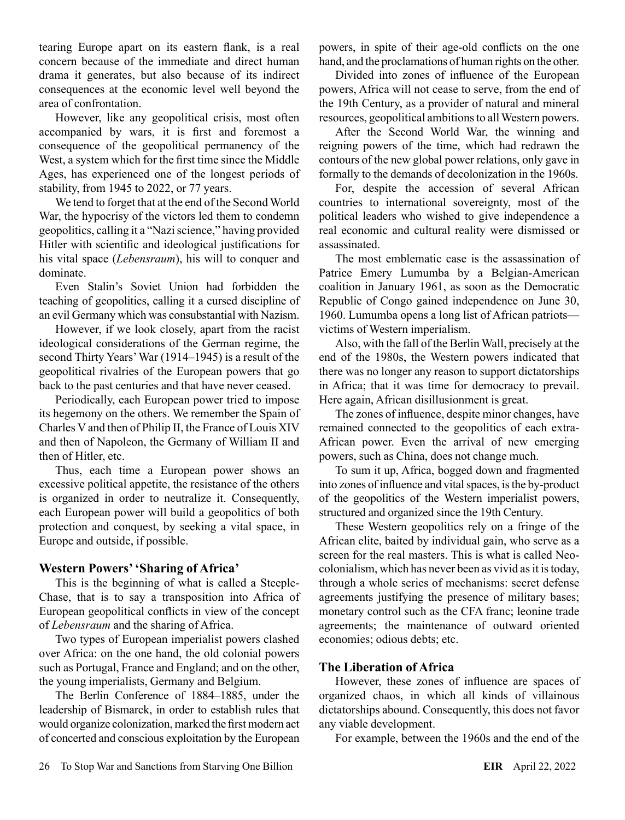tearing Europe apart on its eastern flank, is a real concern because of the immediate and direct human drama it generates, but also because of its indirect consequences at the economic level well beyond the area of confrontation.

However, like any geopolitical crisis, most often accompanied by wars, it is first and foremost a consequence of the geopolitical permanency of the West, a system which for the first time since the Middle Ages, has experienced one of the longest periods of stability, from 1945 to 2022, or 77 years.

We tend to forget that at the end of the Second World War, the hypocrisy of the victors led them to condemn geopolitics, calling it a "Nazi science," having provided Hitler with scientific and ideological justifications for his vital space (*Lebensraum*), his will to conquer and dominate.

Even Stalin's Soviet Union had forbidden the teaching of geopolitics, calling it a cursed discipline of an evil Germany which was consubstantial with Nazism.

However, if we look closely, apart from the racist ideological considerations of the German regime, the second Thirty Years' War (1914–1945) is a result of the geopolitical rivalries of the European powers that go back to the past centuries and that have never ceased.

Periodically, each European power tried to impose its hegemony on the others. We remember the Spain of Charles V and then of Philip II, the France of Louis XIV and then of Napoleon, the Germany of William II and then of Hitler, etc.

Thus, each time a European power shows an excessive political appetite, the resistance of the others is organized in order to neutralize it. Consequently, each European power will build a geopolitics of both protection and conquest, by seeking a vital space, in Europe and outside, if possible.

### **Western Powers' 'Sharing of Africa'**

This is the beginning of what is called a Steeple-Chase, that is to say a transposition into Africa of European geopolitical conflicts in view of the concept of *Lebensraum* and the sharing of Africa.

Two types of European imperialist powers clashed over Africa: on the one hand, the old colonial powers such as Portugal, France and England; and on the other, the young imperialists, Germany and Belgium.

The Berlin Conference of 1884–1885, under the leadership of Bismarck, in order to establish rules that would organize colonization, marked the first modern act of concerted and conscious exploitation by the European powers, in spite of their age-old conflicts on the one hand, and the proclamations of human rights on the other.

Divided into zones of influence of the European powers, Africa will not cease to serve, from the end of the 19th Century, as a provider of natural and mineral resources, geopolitical ambitions to all Western powers.

After the Second World War, the winning and reigning powers of the time, which had redrawn the contours of the new global power relations, only gave in formally to the demands of decolonization in the 1960s.

For, despite the accession of several African countries to international sovereignty, most of the political leaders who wished to give independence a real economic and cultural reality were dismissed or assassinated.

The most emblematic case is the assassination of Patrice Emery Lumumba by a Belgian-American coalition in January 1961, as soon as the Democratic Republic of Congo gained independence on June 30, 1960. Lumumba opens a long list of African patriots victims of Western imperialism.

Also, with the fall of the Berlin Wall, precisely at the end of the 1980s, the Western powers indicated that there was no longer any reason to support dictatorships in Africa; that it was time for democracy to prevail. Here again, African disillusionment is great.

The zones of influence, despite minor changes, have remained connected to the geopolitics of each extra-African power. Even the arrival of new emerging powers, such as China, does not change much.

To sum it up, Africa, bogged down and fragmented into zones of influence and vital spaces, is the by-product of the geopolitics of the Western imperialist powers, structured and organized since the 19th Century.

These Western geopolitics rely on a fringe of the African elite, baited by individual gain, who serve as a screen for the real masters. This is what is called Neocolonialism, which has never been as vivid as it is today, through a whole series of mechanisms: secret defense agreements justifying the presence of military bases; monetary control such as the CFA franc; leonine trade agreements; the maintenance of outward oriented economies; odious debts; etc.

### **The Liberation of Africa**

However, these zones of influence are spaces of organized chaos, in which all kinds of villainous dictatorships abound. Consequently, this does not favor any viable development.

For example, between the 1960s and the end of the